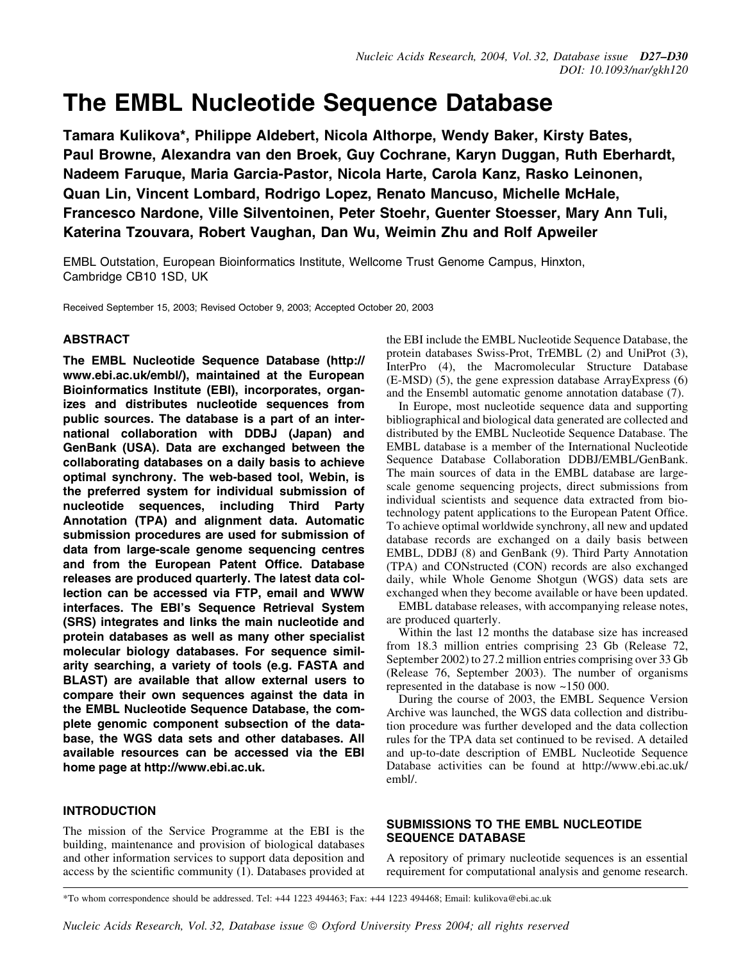# The EMBL Nucleotide Sequence Database

Tamara Kulikova\*, Philippe Aldebert, Nicola Althorpe, Wendy Baker, Kirsty Bates, Paul Browne, Alexandra van den Broek, Guy Cochrane, Karyn Duggan, Ruth Eberhardt, Nadeem Faruque, Maria Garcia-Pastor, Nicola Harte, Carola Kanz, Rasko Leinonen, Quan Lin, Vincent Lombard, Rodrigo Lopez, Renato Mancuso, Michelle McHale, Francesco Nardone, Ville Silventoinen, Peter Stoehr, Guenter Stoesser, Mary Ann Tuli, Katerina Tzouvara, Robert Vaughan, Dan Wu, Weimin Zhu and Rolf Apweiler

EMBL Outstation, European Bioinformatics Institute, Wellcome Trust Genome Campus, Hinxton, Cambridge CB10 1SD, UK

Received September 15, 2003; Revised October 9, 2003; Accepted October 20, 2003

## ABSTRACT

The EMBL Nucleotide Sequence Database (http:// www.ebi.ac.uk/embl/), maintained at the European Bioinformatics Institute (EBI), incorporates, organizes and distributes nucleotide sequences from public sources. The database is a part of an international collaboration with DDBJ (Japan) and GenBank (USA). Data are exchanged between the collaborating databases on a daily basis to achieve optimal synchrony. The web-based tool, Webin, is the preferred system for individual submission of nucleotide sequences, including Third Party Annotation (TPA) and alignment data. Automatic submission procedures are used for submission of data from large-scale genome sequencing centres and from the European Patent Office. Database releases are produced quarterly. The latest data collection can be accessed via FTP, email and WWW interfaces. The EBI's Sequence Retrieval System (SRS) integrates and links the main nucleotide and protein databases as well as many other specialist molecular biology databases. For sequence similarity searching, a variety of tools (e.g. FASTA and BLAST) are available that allow external users to compare their own sequences against the data in the EMBL Nucleotide Sequence Database, the complete genomic component subsection of the database, the WGS data sets and other databases. All available resources can be accessed via the EBI home page at http://www.ebi.ac.uk.

# INTRODUCTION

The mission of the Service Programme at the EBI is the building, maintenance and provision of biological databases and other information services to support data deposition and access by the scientific community  $(1)$ . Databases provided at the EBI include the EMBL Nucleotide Sequence Database, the protein databases Swiss-Prot, TrEMBL (2) and UniProt (3), InterPro (4), the Macromolecular Structure Database (E-MSD) (5), the gene expression database ArrayExpress (6) and the Ensembl automatic genome annotation database (7).

In Europe, most nucleotide sequence data and supporting bibliographical and biological data generated are collected and distributed by the EMBL Nucleotide Sequence Database. The EMBL database is a member of the International Nucleotide Sequence Database Collaboration DDBJ/EMBL/GenBank. The main sources of data in the EMBL database are largescale genome sequencing projects, direct submissions from individual scientists and sequence data extracted from biotechnology patent applications to the European Patent Office. To achieve optimal worldwide synchrony, all new and updated database records are exchanged on a daily basis between EMBL, DDBJ (8) and GenBank (9). Third Party Annotation (TPA) and CONstructed (CON) records are also exchanged daily, while Whole Genome Shotgun (WGS) data sets are exchanged when they become available or have been updated.

EMBL database releases, with accompanying release notes, are produced quarterly.

Within the last 12 months the database size has increased from 18.3 million entries comprising 23 Gb (Release 72, September 2002) to 27.2 million entries comprising over 33 Gb (Release 76, September 2003). The number of organisms represented in the database is now ~150 000.

During the course of 2003, the EMBL Sequence Version Archive was launched, the WGS data collection and distribution procedure was further developed and the data collection rules for the TPA data set continued to be revised. A detailed and up-to-date description of EMBL Nucleotide Sequence Database activities can be found at http://www.ebi.ac.uk/ embl/.

# SUBMISSIONS TO THE EMBL NUCLEOTIDE SEQUENCE DATABASE

A repository of primary nucleotide sequences is an essential requirement for computational analysis and genome research.

\*To whom correspondence should be addressed. Tel: +44 1223 494463; Fax: +44 1223 494468; Email: kulikova@ebi.ac.uk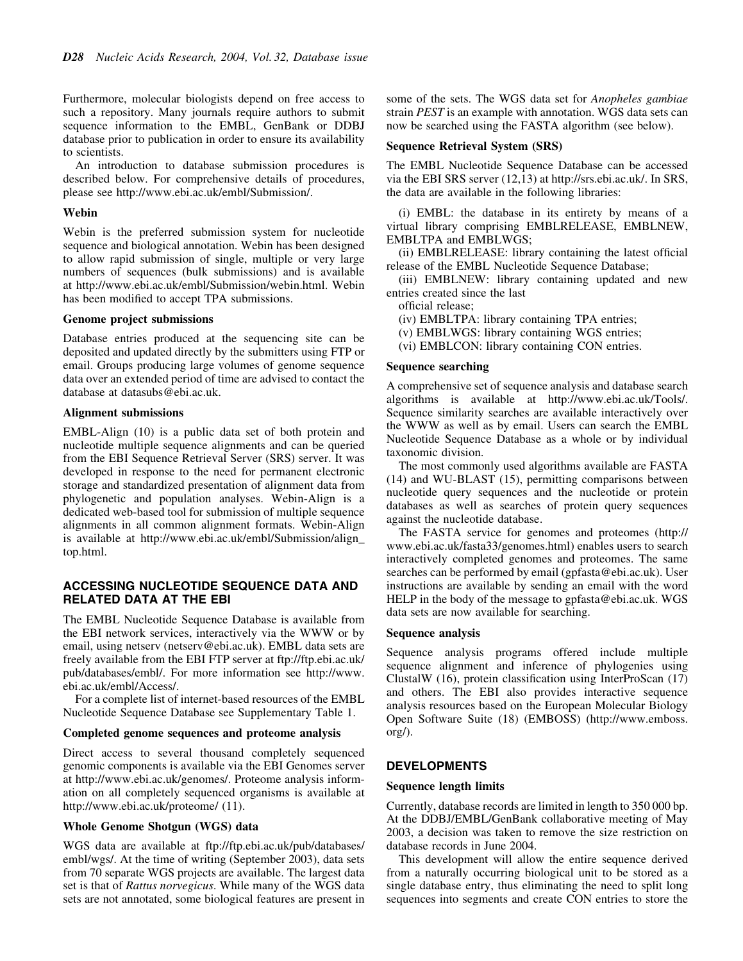Furthermore, molecular biologists depend on free access to such a repository. Many journals require authors to submit sequence information to the EMBL, GenBank or DDBJ database prior to publication in order to ensure its availability to scientists.

An introduction to database submission procedures is described below. For comprehensive details of procedures, please see http://www.ebi.ac.uk/embl/Submission/.

## Webin

Webin is the preferred submission system for nucleotide sequence and biological annotation. Webin has been designed to allow rapid submission of single, multiple or very large numbers of sequences (bulk submissions) and is available at http://www.ebi.ac.uk/embl/Submission/webin.html. Webin has been modified to accept TPA submissions.

## Genome project submissions

Database entries produced at the sequencing site can be deposited and updated directly by the submitters using FTP or email. Groups producing large volumes of genome sequence data over an extended period of time are advised to contact the database at datasubs@ebi.ac.uk.

## Alignment submissions

EMBL-Align (10) is a public data set of both protein and nucleotide multiple sequence alignments and can be queried from the EBI Sequence Retrieval Server (SRS) server. It was developed in response to the need for permanent electronic storage and standardized presentation of alignment data from phylogenetic and population analyses. Webin-Align is a dedicated web-based tool for submission of multiple sequence alignments in all common alignment formats. Webin-Align is available at http://www.ebi.ac.uk/embl/Submission/align\_ top.html.

## ACCESSING NUCLEOTIDE SEQUENCE DATA AND RELATED DATA AT THE EBI

The EMBL Nucleotide Sequence Database is available from the EBI network services, interactively via the WWW or by email, using netserv (netserv@ebi.ac.uk). EMBL data sets are freely available from the EBI FTP server at ftp://ftp.ebi.ac.uk/ pub/databases/embl/. For more information see http://www. ebi.ac.uk/embl/Access/.

For a complete list of internet-based resources of the EMBL Nucleotide Sequence Database see Supplementary Table 1.

#### Completed genome sequences and proteome analysis

Direct access to several thousand completely sequenced genomic components is available via the EBI Genomes server at http://www.ebi.ac.uk/genomes/. Proteome analysis information on all completely sequenced organisms is available at http://www.ebi.ac.uk/proteome/ (11).

#### Whole Genome Shotgun (WGS) data

WGS data are available at ftp://ftp.ebi.ac.uk/pub/databases/ embl/wgs/. At the time of writing (September 2003), data sets from 70 separate WGS projects are available. The largest data set is that of Rattus norvegicus. While many of the WGS data sets are not annotated, some biological features are present in some of the sets. The WGS data set for *Anopheles gambiae* strain PEST is an example with annotation. WGS data sets can now be searched using the FASTA algorithm (see below).

### Sequence Retrieval System (SRS)

The EMBL Nucleotide Sequence Database can be accessed via the EBI SRS server (12,13) at http://srs.ebi.ac.uk/. In SRS, the data are available in the following libraries:

(i) EMBL: the database in its entirety by means of a virtual library comprising EMBLRELEASE, EMBLNEW, EMBLTPA and EMBLWGS;

(ii) EMBLRELEASE: library containing the latest official release of the EMBL Nucleotide Sequence Database;

(iii) EMBLNEW: library containing updated and new entries created since the last

official release;

(iv) EMBLTPA: library containing TPA entries;

(v) EMBLWGS: library containing WGS entries;

(vi) EMBLCON: library containing CON entries.

## Sequence searching

A comprehensive set of sequence analysis and database search algorithms is available at http://www.ebi.ac.uk/Tools/. Sequence similarity searches are available interactively over the WWW as well as by email. Users can search the EMBL Nucleotide Sequence Database as a whole or by individual taxonomic division.

The most commonly used algorithms available are FASTA (14) and WU-BLAST (15), permitting comparisons between nucleotide query sequences and the nucleotide or protein databases as well as searches of protein query sequences against the nucleotide database.

The FASTA service for genomes and proteomes (http:// www.ebi.ac.uk/fasta33/genomes.html) enables users to search interactively completed genomes and proteomes. The same searches can be performed by email (gpfasta@ebi.ac.uk). User instructions are available by sending an email with the word HELP in the body of the message to gpfasta@ebi.ac.uk. WGS data sets are now available for searching.

#### Sequence analysis

Sequence analysis programs offered include multiple sequence alignment and inference of phylogenies using ClustalW  $(16)$ , protein classification using InterProScan  $(17)$ and others. The EBI also provides interactive sequence analysis resources based on the European Molecular Biology Open Software Suite (18) (EMBOSS) (http://www.emboss. org/).

## DEVELOPMENTS

#### Sequence length limits

Currently, database records are limited in length to 350 000 bp. At the DDBJ/EMBL/GenBank collaborative meeting of May 2003, a decision was taken to remove the size restriction on database records in June 2004.

This development will allow the entire sequence derived from a naturally occurring biological unit to be stored as a single database entry, thus eliminating the need to split long sequences into segments and create CON entries to store the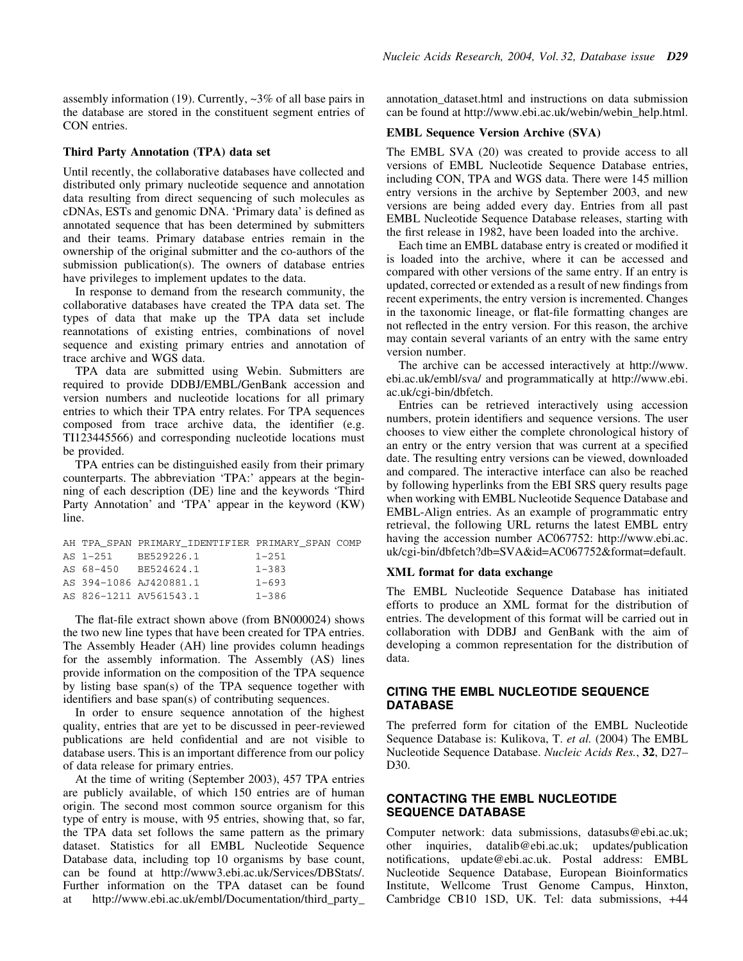assembly information (19). Currently, ~3% of all base pairs in the database are stored in the constituent segment entries of CON entries.

## Third Party Annotation (TPA) data set

Until recently, the collaborative databases have collected and distributed only primary nucleotide sequence and annotation data resulting from direct sequencing of such molecules as cDNAs, ESTs and genomic DNA. 'Primary data' is defined as annotated sequence that has been determined by submitters and their teams. Primary database entries remain in the ownership of the original submitter and the co-authors of the submission publication(s). The owners of database entries have privileges to implement updates to the data.

In response to demand from the research community, the collaborative databases have created the TPA data set. The types of data that make up the TPA data set include reannotations of existing entries, combinations of novel sequence and existing primary entries and annotation of trace archive and WGS data.

TPA data are submitted using Webin. Submitters are required to provide DDBJ/EMBL/GenBank accession and version numbers and nucleotide locations for all primary entries to which their TPA entry relates. For TPA sequences composed from trace archive data, the identifier (e.g. TI123445566) and corresponding nucleotide locations must be provided.

TPA entries can be distinguished easily from their primary counterparts. The abbreviation `TPA:' appears at the beginning of each description (DE) line and the keywords `Third Party Annotation' and 'TPA' appear in the keyword (KW) line.

|          | AH TPA SPAN PRIMARY IDENTIFIER PRIMARY SPAN COMP |           |
|----------|--------------------------------------------------|-----------|
| AS 1-251 | BE529226.1                                       | $1 - 251$ |
|          | AS 68-450 BE524624.1                             | $1 - 383$ |
|          | AS 394-1086 AJ420881.1                           | $1 - 693$ |
|          | AS 826-1211 AV561543.1                           | $1 - 386$ |
|          |                                                  |           |

The flat-file extract shown above (from BN000024) shows the two new line types that have been created for TPA entries. The Assembly Header (AH) line provides column headings for the assembly information. The Assembly (AS) lines provide information on the composition of the TPA sequence by listing base span(s) of the TPA sequence together with identifiers and base span(s) of contributing sequences.

In order to ensure sequence annotation of the highest quality, entries that are yet to be discussed in peer-reviewed publications are held confidential and are not visible to database users. This is an important difference from our policy of data release for primary entries.

At the time of writing (September 2003), 457 TPA entries are publicly available, of which 150 entries are of human origin. The second most common source organism for this type of entry is mouse, with 95 entries, showing that, so far, the TPA data set follows the same pattern as the primary dataset. Statistics for all EMBL Nucleotide Sequence Database data, including top 10 organisms by base count, can be found at http://www3.ebi.ac.uk/Services/DBStats/. Further information on the TPA dataset can be found at http://www.ebi.ac.uk/embl/Documentation/third\_party\_ annotation\_dataset.html and instructions on data submission can be found at http://www.ebi.ac.uk/webin/webin\_help.html.

## EMBL Sequence Version Archive (SVA)

The EMBL SVA (20) was created to provide access to all versions of EMBL Nucleotide Sequence Database entries, including CON, TPA and WGS data. There were 145 million entry versions in the archive by September 2003, and new versions are being added every day. Entries from all past EMBL Nucleotide Sequence Database releases, starting with the first release in  $1982$ , have been loaded into the archive.

Each time an EMBL database entry is created or modified it is loaded into the archive, where it can be accessed and compared with other versions of the same entry. If an entry is updated, corrected or extended as a result of new findings from recent experiments, the entry version is incremented. Changes in the taxonomic lineage, or flat-file formatting changes are not reflected in the entry version. For this reason, the archive may contain several variants of an entry with the same entry version number.

The archive can be accessed interactively at http://www. ebi.ac.uk/embl/sva/ and programmatically at http://www.ebi. ac.uk/cgi-bin/dbfetch.

Entries can be retrieved interactively using accession numbers, protein identifiers and sequence versions. The user chooses to view either the complete chronological history of an entry or the entry version that was current at a specified date. The resulting entry versions can be viewed, downloaded and compared. The interactive interface can also be reached by following hyperlinks from the EBI SRS query results page when working with EMBL Nucleotide Sequence Database and EMBL-Align entries. As an example of programmatic entry retrieval, the following URL returns the latest EMBL entry having the accession number AC067752: http://www.ebi.ac. uk/cgi-bin/dbfetch?db=SVA&id=AC067752&format=default.

#### XML format for data exchange

The EMBL Nucleotide Sequence Database has initiated efforts to produce an XML format for the distribution of entries. The development of this format will be carried out in collaboration with DDBJ and GenBank with the aim of developing a common representation for the distribution of data.

## CITING THE EMBL NUCLEOTIDE SEQUENCE **DATABASE**

The preferred form for citation of the EMBL Nucleotide Sequence Database is: Kulikova, T. et al. (2004) The EMBL Nucleotide Sequence Database. Nucleic Acids Res., 32, D27-D30.

## CONTACTING THE EMBL NUCLEOTIDE SEQUENCE DATABASE

Computer network: data submissions, datasubs@ebi.ac.uk; other inquiries, datalib@ebi.ac.uk; updates/publication notifications, update@ebi.ac.uk. Postal address: EMBL Nucleotide Sequence Database, European Bioinformatics Institute, Wellcome Trust Genome Campus, Hinxton, Cambridge CB10 1SD, UK. Tel: data submissions, +44